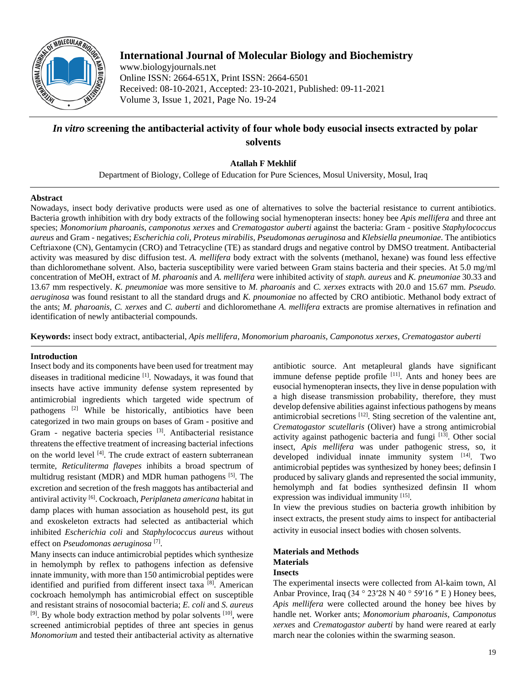

# **International Journal of Molecular Biology and Biochemistry**

www.biologyjournals.net Online ISSN: 2664-651X, Print ISSN: 2664-6501 Received: 08-10-2021, Accepted: 23-10-2021, Published: 09-11-2021 Volume 3, Issue 1, 2021, Page No. 19-24

# *In vitro* **screening the antibacterial activity of four whole body eusocial insects extracted by polar solvents**

**Atallah F Mekhlif**

Department of Biology, College of Education for Pure Sciences, Mosul University, Mosul, Iraq

### **Abstract**

Nowadays, insect body derivative products were used as one of alternatives to solve the bacterial resistance to current antibiotics. Bacteria growth inhibition with dry body extracts of the following social hymenopteran insects: honey bee *Apis mellifera* and three ant species; *Monomorium pharoanis*, *camponotus xerxes* and *Crematogastor auberti* against the bacteria: Gram - positive *Staphylococcus aureus* and Gram - negatives; *Escherichia coli*, *Proteus mirabilis*, *Pseudomonas aeruginosa* and *Klebsiella pneumoniae*. The antibiotics Ceftriaxone (CN), Gentamycin (CRO) and Tetracycline (TE) as standard drugs and negative control by DMSO treatment. Antibacterial activity was measured by disc diffusion test. *A. mellifera* body extract with the solvents (methanol, hexane) was found less effective than dichloromethane solvent. Also, bacteria susceptibility were varied between Gram stains bacteria and their species. At 5.0 mg/ml concentration of MeOH, extract of *M. pharoanis* and *A. mellifera* were inhibited activity of *staph. aureus* and *K. pneumoniae* 30.33 and 13.67 mm respectively. *K. pneumoniae* was more sensitive to *M. pharoanis* and *C. xerxes* extracts with 20.0 and 15.67 mm. *Pseudo. aeruginosa* was found resistant to all the standard drugs and *K. pnoumoniae* no affected by CRO antibiotic. Methanol body extract of the ants; *M. pharoanis*, *C. xerxes* and *C. auberti* and dichloromethane *A. mellifera* extracts are promise alternatives in refination and identification of newly antibacterial compounds.

**Keywords:** insect body extract, antibacterial, *Apis mellifera*, *Monomorium pharoanis, Camponotus xerxes, Crematogastor auberti*

### **Introduction**

Insect body and its components have been used for treatment may diseases in traditional medicine <sup>[1]</sup>. Nowadays, it was found that insects have active immunity defense system represented by antimicrobial ingredients which targeted wide spectrum of pathogens [2] While be historically, antibiotics have been categorized in two main groups on bases of Gram - positive and Gram - negative bacteria species <sup>[3]</sup>. Antibacterial resistance threatens the effective treatment of increasing bacterial infections on the world level <sup>[4]</sup>. The crude extract of eastern subterranean termite, *Reticuliterma flavepes* inhibits a broad spectrum of multidrug resistant (MDR) and MDR human pathogens [5]. The excretion and secretion of the fresh maggots has antibacterial and antiviral activity [6] . Cockroach, *Periplaneta americana* habitat in damp places with human association as household pest, its gut and exoskeleton extracts had selected as antibacterial which inhibited *Escherichia coli* and *Staphylococcus aureus* without effect on *Pseudomonas aeruginosa* [7] .

Many insects can induce antimicrobial peptides which synthesize in hemolymph by reflex to pathogens infection as defensive innate immunity, with more than 150 antimicrobial peptides were identified and purified from different insect taxa [8]. American cockroach hemolymph has antimicrobial effect on susceptible and resistant strains of nosocomial bacteria; *E. coli* and *S. aureus* <sup>[9]</sup>. By whole body extraction method by polar solvents <sup>[10]</sup>, were screened antimicrobial peptides of three ant species in genus *Monomorium* and tested their antibacterial activity as alternative

antibiotic source. Ant metapleural glands have significant immune defense peptide profile  $[11]$ . Ants and honey bees are eusocial hymenopteran insects, they live in dense population with a high disease transmission probability, therefore, they must develop defensive abilities against infectious pathogens by means antimicrobial secretions <sup>[12]</sup>. Sting secretion of the valentine ant, *Crematogastor scutellaris* (Oliver) have a strong antimicrobial activity against pathogenic bacteria and fungi [13]. Other social insect, *Apis mellifera* was under pathogenic stress, so, it developed individual innate immunity system [14]. Two antimicrobial peptides was synthesized by honey bees; definsin I produced by salivary glands and represented the social immunity, hemolymph and fat bodies synthesized definsin II whom expression was individual immunity [15].

In view the previous studies on bacteria growth inhibition by insect extracts, the present study aims to inspect for antibacterial activity in eusocial insect bodies with chosen solvents.

### **Materials and Methods Materials Insects**

The experimental insects were collected from Al-kaim town, Al Anbar Province, Iraq  $(34 \degree 23'28 \text{ N } 40 \degree 59'16'' \text{ E})$  Honey bees, *Apis mellifera* were collected around the honey bee hives by handle net. Worker ants; *Monomorium pharoanis*, *Camponotus xerxes* and *Crematogastor auberti* by hand were reared at early march near the colonies within the swarming season.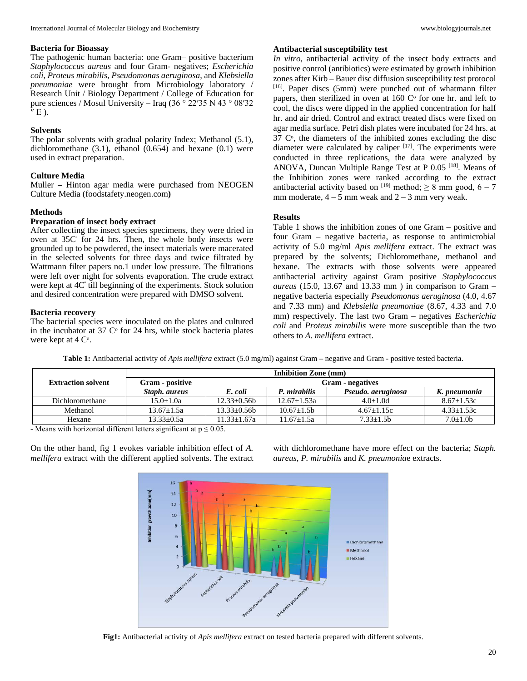#### **Bacteria for Bioassay**

The pathogenic human bacteria: one Gram– positive bacterium *Staphylococcus aureus* and four Gram- negatives; *Escherichia coli*, *Proteus mirabilis*, *Pseudomonas aeruginosa*, and *Klebsiella pneumoniae* were brought from Microbiology laboratory / Research Unit / Biology Department / College of Education for pure sciences / Mosul University – Iraq (36 ° 22′35 N 43 ° 08′32  $''E$ ).

## **Solvents**

The polar solvents with gradual polarity Index; Methanol (5.1), dichloromethane  $(3.1)$ , ethanol  $(0.654)$  and hexane  $(0.1)$  were used in extract preparation.

## **Culture Media**

Muller – Hinton agar media were purchased from NEOGEN Culture Media (foodstafety.neogen.com**)**

### **Methods**

### **Preparation of insect body extract**

After collecting the insect species specimens, they were dried in oven at 35C $\degree$  for 24 hrs. Then, the whole body insects were grounded up to be powdered, the insect materials were macerated in the selected solvents for three days and twice filtrated by Wattmann filter papers no.1 under low pressure. The filtrations were left over night for solvents evaporation. The crude extract were kept at  $4C^{\circ}$  till beginning of the experiments. Stock solution and desired concentration were prepared with DMSO solvent.

### **Bacteria recovery**

The bacterial species were inoculated on the plates and cultured in the incubator at 37  $\degree$  for 24 hrs, while stock bacteria plates were kept at 4  $C^{\circ}$ .

#### **Antibacterial susceptibility test**

*In vitro*, antibacterial activity of the insect body extracts and positive control (antibiotics) were estimated by growth inhibition zones after Kirb – Bauer disc diffusion susceptibility test protocol [16]. Paper discs (5mm) were punched out of whatmann filter papers, then sterilized in oven at 160  $C^{\circ}$  for one hr. and left to cool, the discs were dipped in the applied concentration for half hr. and air dried. Control and extract treated discs were fixed on agar media surface. Petri dish plates were incubated for 24 hrs. at  $37 \, \text{C}^{\,\circ}$ , the diameters of the inhibited zones excluding the disc diameter were calculated by caliper  $[17]$ . The experiments were conducted in three replications, the data were analyzed by ANOVA, Duncan Multiple Range Test at P  $0.05$  <sup>[18]</sup>. Means of the Inhibition zones were ranked according to the extract antibacterial activity based on [19] method;  $\geq 8$  mm good, 6 – 7 mm moderate,  $4 - 5$  mm weak and  $2 - 3$  mm very weak.

### **Results**

Table 1 shows the inhibition zones of one Gram – positive and four Gram – negative bacteria, as response to antimicrobial activity of 5.0 mg/ml *Apis mellifera* extract. The extract was prepared by the solvents; Dichloromethane, methanol and hexane. The extracts with those solvents were appeared antibacterial activity against Gram positive *Staphylococcus aureus* (15.0, 13.67 and 13.33 mm ) in comparison to Gram – negative bacteria especially *Pseudomonas aeruginosa* (4.0, 4.67 and 7.33 mm) and *Klebsiella pneumoniae* (8.67, 4.33 and 7.0 mm) respectively. The last two Gram – negatives *Escherichia coli* and *Proteus mirabilis* were more susceptible than the two others to *A. mellifera* extract.

**Table 1:** Antibacterial activity of *Apis mellifera* extract (5.0 mg/ml) against Gram – negative and Gram - positive tested bacteria.

|                           | Inhibition Zone (mm) |                         |                 |                    |                |  |
|---------------------------|----------------------|-------------------------|-----------------|--------------------|----------------|--|
| <b>Extraction solvent</b> | Gram - positive      | <b>Gram - negatives</b> |                 |                    |                |  |
|                           | Staph, aureus        | E. coli                 | P. mirabilis    | Pseudo, aeruginosa | K. pneumonia   |  |
| Dichloromethane           | $15.0 + 1.0a$        | $12.33+0.56b$           | $12.67 + 1.53a$ | $4.0+1.0d$         | $8.67 + 1.53c$ |  |
| Methanol                  | $13.67 + 1.5a$       | $13.33+0.56b$           | $10.67 + 1.5b$  | $4.67+1.15c$       | $4.33+1.53c$   |  |
| Hexane                    | $13.33+0.5a$         | $11.33 + 1.67a$         | $11.67 + 1.5a$  | $7.33 + 1.5b$      | $7.0 \pm 1.0$  |  |

- Means with horizontal different letters significant at  $p \le 0.05$ .

On the other hand, fig 1 evokes variable inhibition effect of *A. mellifera* extract with the different applied solvents. The extract

with dichloromethane have more effect on the bacteria; *Staph. aureus*, *P. mirabilis* and *K. pneumonia*e extracts.



**Fig1:** Antibacterial activity of *Apis mellifera* extract on tested bacteria prepared with different solvents.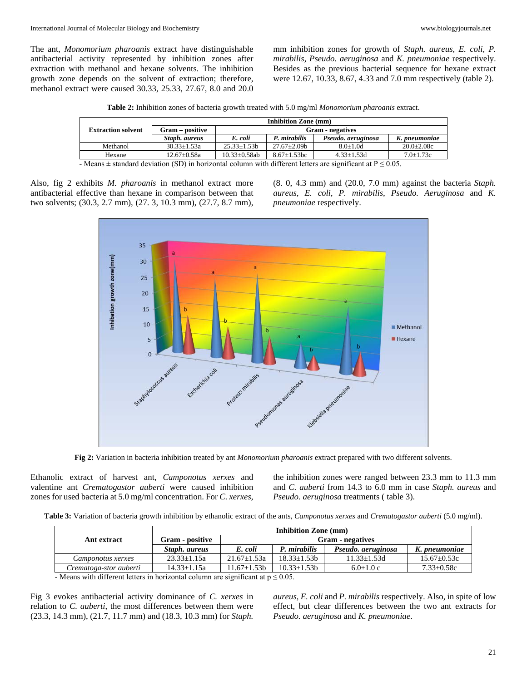The ant, *Monomorium pharoanis* extract have distinguishable antibacterial activity represented by inhibition zones after extraction with methanol and hexane solvents. The inhibition growth zone depends on the solvent of extraction; therefore, methanol extract were caused 30.33, 25.33, 27.67, 8.0 and 20.0

mm inhibition zones for growth of *Staph. aureus*, *E. coli*, *P. mirabilis*, *Pseudo. aeruginosa* and *K. pneumoniae* respectively. Besides as the previous bacterial sequence for hexane extract were 12.67, 10.33, 8.67, 4.33 and 7.0 mm respectively (table 2).

| Table 2: Inhibition zones of bacteria growth treated with 5.0 mg/ml Monomorium pharoanis extract. |  |
|---------------------------------------------------------------------------------------------------|--|
|---------------------------------------------------------------------------------------------------|--|

|                                                                                                                     | <b>Inhibition Zone (mm)</b> |                         |                    |                    |                  |
|---------------------------------------------------------------------------------------------------------------------|-----------------------------|-------------------------|--------------------|--------------------|------------------|
| <b>Extraction solvent</b>                                                                                           | Gram – positive             | <b>Gram - negatives</b> |                    |                    |                  |
|                                                                                                                     | Staph, aureus               | E. coli                 | P. mirabilis       | Pseudo, aeruginosa | K. pneumoniae    |
| Methanol                                                                                                            | $30.33 \pm 1.53a$           | $25.33 \pm 1.53 b$      | $27.67 \pm 2.09b$  | $8.0 + 1.0d$       | $20.0 \pm 2.08c$ |
| Hexane                                                                                                              | $12.67 \pm 0.58a$           | $10.33 \pm 0.58$ ab     | $8.67 \pm 1.53$ bc | $4.33 \pm 1.53$ d  | $7.0 \pm 1.73c$  |
| - Means $\pm$ standard deviation (SD) in horizontal column with different letters are significant at $P \le 0.05$ . |                             |                         |                    |                    |                  |

Also, fig 2 exhibits *M. pharoanis* in methanol extract more antibacterial effective than hexane in comparison between that two solvents; (30.3, 2.7 mm), (27. 3, 10.3 mm), (27.7, 8.7 mm),

(8. 0, 4.3 mm) and (20.0, 7.0 mm) against the bacteria *Staph. aureus*, *E. coli*, *P. mirabilis*, *Pseudo. Aeruginosa* and *K. pneumoniae* respectively.



**Fig 2:** Variation in bacteria inhibition treated by ant *Monomorium pharoanis* extract prepared with two different solvents.

Ethanolic extract of harvest ant, *Camponotus xerxes* and valentine ant *Crematogastor auberti* were caused inhibition zones for used bacteria at 5.0 mg/ml concentration. For *C. xerxes*,

the inhibition zones were ranged between 23.3 mm to 11.3 mm and *C. auberti* from 14.3 to 6.0 mm in case *Staph. aureus* and *Pseudo. aeruginosa* treatments ( table 3).

**Table 3:** Variation of bacteria growth inhibition by ethanolic extract of the ants, *Camponotus xerxes* and *Crematogastor auberti* (5.0 mg/ml).

|                        | <b>Inhibition Zone (mm)</b> |                         |                 |                    |                   |  |
|------------------------|-----------------------------|-------------------------|-----------------|--------------------|-------------------|--|
| Ant extract            | Gram - positive             | <b>Gram</b> - negatives |                 |                    |                   |  |
|                        | Staph, aureus               | E. coli                 | P. mirabilis    | Pseudo, aeruginosa | K. pneumoniae     |  |
| Camponotus xerxes      | $23.33 + 1.15a$             | $21.67 + 1.53a$         | $18.33 + 1.53b$ | $11.33 + 1.53d$    | $15.67 \pm 0.53c$ |  |
| Crematoga-stor auberti | $14.33 \pm 1.15a$           | $11.67 + 1.53b$         | $10.33 + 1.53b$ | $6.0+1.0c$         | $7.33 \pm 0.58c$  |  |

- Means with different letters in horizontal column are significant at  $p \le 0.05$ .

Fig 3 evokes antibacterial activity dominance of *C. xerxes* in relation to *C. auberti*, the most differences between them were (23.3, 14.3 mm), (21.7, 11.7 mm) and (18.3, 10.3 mm) for *Staph.* 

*aureus*, *E. coli* and *P. mirabilis* respectively. Also, in spite of low effect, but clear differences between the two ant extracts for *Pseudo. aeruginosa* and *K. pneumoniae*.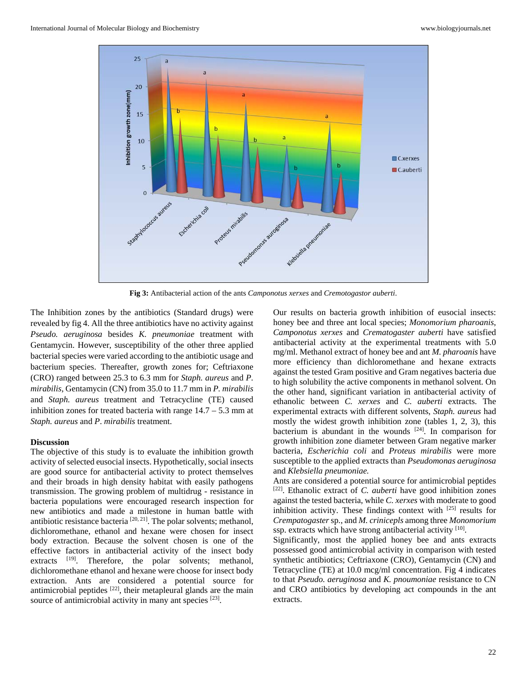

**Fig 3:** Antibacterial action of the ants *Camponotus xerxes* and *Cremotogastor auberti*.

The Inhibition zones by the antibiotics (Standard drugs) were revealed by fig 4. All the three antibiotics have no activity against *Pseudo. aeruginosa* besides *K. pneumoniae* treatment with Gentamycin. However, susceptibility of the other three applied bacterial species were varied according to the antibiotic usage and bacterium species. Thereafter, growth zones for; Ceftriaxone (CRO) ranged between 25.3 to 6.3 mm for *Staph. aureus* and *P. mirabilis*, Gentamycin (CN) from 35.0 to 11.7 mm in *P. mirabilis* and *Staph. aureus* treatment and Tetracycline (TE) caused inhibition zones for treated bacteria with range  $14.7 - 5.3$  mm at *Staph. aureus* and *P*. *mirabilis* treatment.

#### **Discussion**

The objective of this study is to evaluate the inhibition growth activity of selected eusocial insects. Hypothetically, social insects are good source for antibacterial activity to protect themselves and their broads in high density habitat with easily pathogens transmission. The growing problem of multidrug - resistance in bacteria populations were encouraged research inspection for new antibiotics and made a milestone in human battle with antibiotic resistance bacteria  $[20, 21]$ . The polar solvents; methanol, dichloromethane, ethanol and hexane were chosen for insect body extraction. Because the solvent chosen is one of the effective factors in antibacterial activity of the insect body extracts <sup>[19]</sup>. Therefore, the polar solvents; methanol, dichloromethane ethanol and hexane were choose for insect body extraction. Ants are considered a potential source for antimicrobial peptides  $[22]$ , their metapleural glands are the main source of antimicrobial activity in many ant species  $[23]$ .

Our results on bacteria growth inhibition of eusocial insects: honey bee and three ant local species; *Monomorium pharoanis*, *Camponotus xerxes* and *Crematogaster auberti* have satisfied antibacterial activity at the experimental treatments with 5.0 mg/ml. Methanol extract of honey bee and ant *M. pharoanis* have more efficiency than dichloromethane and hexane extracts against the tested Gram positive and Gram negatives bacteria due to high solubility the active components in methanol solvent. On the other hand, significant variation in antibacterial activity of ethanolic between *C. xerxes* and *C. auberti* extracts. The experimental extracts with different solvents, *Staph. aureus* had mostly the widest growth inhibition zone (tables 1, 2, 3), this bacterium is abundant in the wounds  $[24]$ . In comparison for growth inhibition zone diameter between Gram negative marker bacteria, *Escherichia coli* and *Proteus mirabilis* were more susceptible to the applied extracts than *Pseudomonas aeruginosa* and *Klebsiella pneumoniae.*

Ants are considered a potential source for antimicrobial peptides [22] . Ethanolic extract of *C. auberti* have good inhibition zones against the tested bacteria, while *C. xerxes* with moderate to good inhibition activity. These findings context with [25] results for *Crempatogaster* sp., and *M. crinicepls* among three *Monomorium* ssp. extracts which have strong antibacterial activity [10].

Significantly, most the applied honey bee and ants extracts possessed good antimicrobial activity in comparison with tested synthetic antibiotics; Ceftriaxone (CRO), Gentamycin (CN) and Tetracycline (TE) at 10.0 mcg/ml concentration. Fig 4 indicates to that *Pseudo. aeruginosa* and *K. pnoumoniae* resistance to CN and CRO antibiotics by developing act compounds in the ant extracts.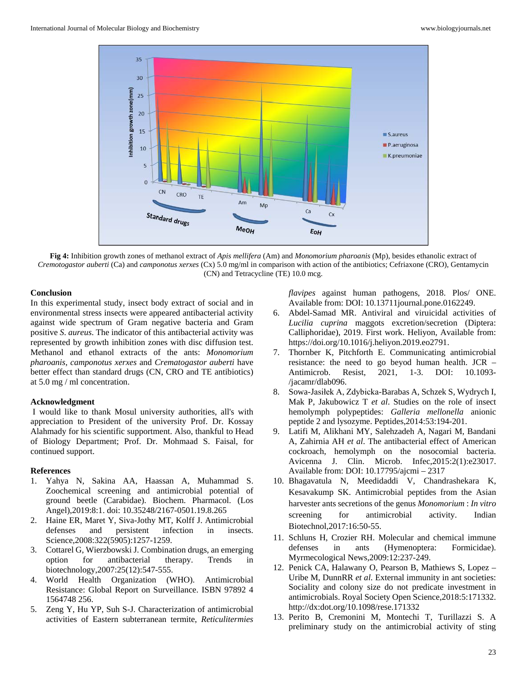

**Fig 4:** Inhibition growth zones of methanol extract of *Apis mellifera* (Am) and *Monomorium pharoanis* (Mp), besides ethanolic extract of *Cremotogastor auberti* (Ca) and *camponotus xerxes* (Cx) 5.0 mg/ml in comparison with action of the antibiotics; Cefriaxone (CRO), Gentamycin (CN) and Tetracycline (TE) 10.0 mcg.

### **Conclusion**

In this experimental study, insect body extract of social and in environmental stress insects were appeared antibacterial activity against wide spectrum of Gram negative bacteria and Gram positive *S*. *aureus*. The indicator of this antibacterial activity was represented by growth inhibition zones with disc diffusion test. Methanol and ethanol extracts of the ants: *Monomorium pharoanis*, *camponotus xerxes* and *Crematogastor auberti* have better effect than standard drugs (CN, CRO and TE antibiotics) at 5.0 mg / ml concentration.

### **Acknowledgment**

I would like to thank Mosul university authorities, all's with appreciation to President of the university Prof. Dr. Kossay Alahmady for his scientific supportment. Also, thankful to Head of Biology Department; Prof. Dr. Mohmaad S. Faisal, for continued support.

### **References**

- 1. Yahya N, Sakina AA, Haassan A, Muhammad S. Zoochemical screening and antimicrobial potential of ground beetle (Carabidae). Biochem. Pharmacol. (Los Angel),2019:8:1. doi: 10.35248/2167-0501.19.8.265
- 2. Haine ER, Maret Y, Siva-Jothy MT, Kolff J. Antimicrobial defenses and persistent infection in insects. Science,2008:322(5905):1257-1259.
- 3. Cottarel G, Wierzbowski J. Combination drugs, an emerging option for antibacterial therapy. Trends in biotechnology,2007:25(12):547-555.
- 4. World Health Organization (WHO). Antimicrobial Resistance: Global Report on Surveillance. ISBN 97892 4 1564748 256.
- 5. Zeng Y, Hu YP, Suh S-J. Characterization of antimicrobial activities of Eastern subterranean termite, *Reticulitermies*

*flavipes* against human pathogens, 2018. Plos/ ONE. Available from: DOI: 10.13711journal.pone.0162249.

- 6. Abdel-Samad MR. Antiviral and viruicidal activities of *Lucilia cuprina* maggots excretion/secretion (Diptera: Calliphoridae), 2019. First work. Heliyon, Available from: https://doi.org/10.1016/j.heliyon.2019.eo2791.
- 7. Thornber K, Pitchforth E. Communicating antimicrobial resistance: the need to go beyod human health. JCR – Antimicrob. Resist, 2021, 1-3. DOI: 10.1093- /jacamr/dlab096.
- 8. Sowa-Jasiłek A, Zdybicka-Barabas A, Schzek S, Wydrych I, Mak P, Jakubowicz T *et al*. Studies on the role of insect hemolymph polypeptides: *Galleria mellonella* anionic peptide 2 and lysozyme. Peptides,2014:53:194-201.
- 9. Latifi M, Alikhani MY, Salehzadeh A, Nagari M, Bandani A, Zahirnia AH *et al*. The antibacterial effect of American cockroach, hemolymph on the nosocomial bacteria. Avicenna J. Clin. Microb. Infec,2015:2(1):e23017. Available from: DOI: 10.17795/ajcmi – 2317
- 10. Bhagavatula N, Meedidaddi V, Chandrashekara K, Kesavakump SK. Antimicrobial peptides from the Asian harvester ants secretions of the genus *Monomorium* : *In vitro*  screening for antimicrobial activity. Indian Biotechnol,2017:16:50-55.
- 11. Schluns H, Crozier RH. Molecular and chemical immune defenses in ants (Hymenoptera: Formicidae). Myrmecological News,2009:12:237-249.
- 12. Penick CA, Halawany O, Pearson B, Mathiews S, Lopez Uribe M, DunnRR *et al*. External immunity in ant societies: Sociality and colony size do not predicate investment in antimicrobials. Royal Society Open Science,2018:5:171332. http://dx:dot.org/10.1098/rese.171332
- 13. Perito B, Cremonini M, Montechi T, Turillazzi S. A preliminary study on the antimicrobial activity of sting